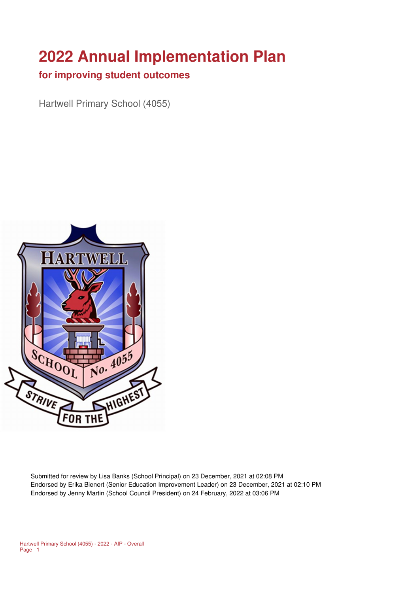# **2022 Annual Implementation Plan**

#### **for improving student outcomes**

Hartwell Primary School (4055)



Submitted for review by Lisa Banks (School Principal) on 23 December, 2021 at 02:08 PM Endorsed by Erika Bienert (Senior Education Improvement Leader) on 23 December, 2021 at 02:10 PM Endorsed by Jenny Martin (School Council President) on 24 February, 2022 at 03:06 PM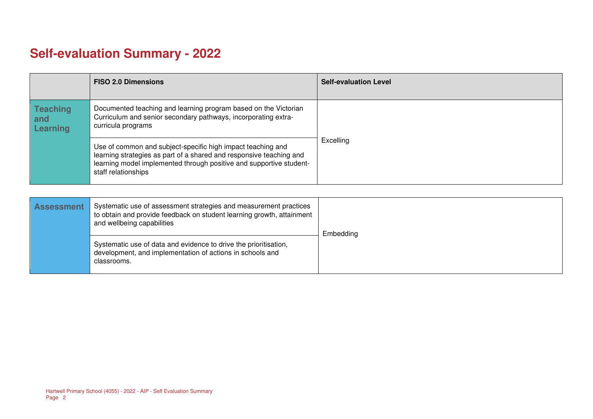## **Self-evaluation Summary - 2022**

|                                           | <b>FISO 2.0 Dimensions</b>                                                                                                                                                                                                       | <b>Self-evaluation Level</b> |
|-------------------------------------------|----------------------------------------------------------------------------------------------------------------------------------------------------------------------------------------------------------------------------------|------------------------------|
| <b>Teaching</b><br>and<br><b>Learning</b> | Documented teaching and learning program based on the Victorian<br>Curriculum and senior secondary pathways, incorporating extra-<br>curricula programs                                                                          |                              |
|                                           | Use of common and subject-specific high impact teaching and<br>learning strategies as part of a shared and responsive teaching and<br>learning model implemented through positive and supportive student-<br>staff relationships | Excelling                    |

| <b>Assessment</b> | Systematic use of assessment strategies and measurement practices<br>to obtain and provide feedback on student learning growth, attainment<br>and wellbeing capabilities | Embedding |
|-------------------|--------------------------------------------------------------------------------------------------------------------------------------------------------------------------|-----------|
|                   | Systematic use of data and evidence to drive the prioritisation,<br>development, and implementation of actions in schools and<br>classrooms.                             |           |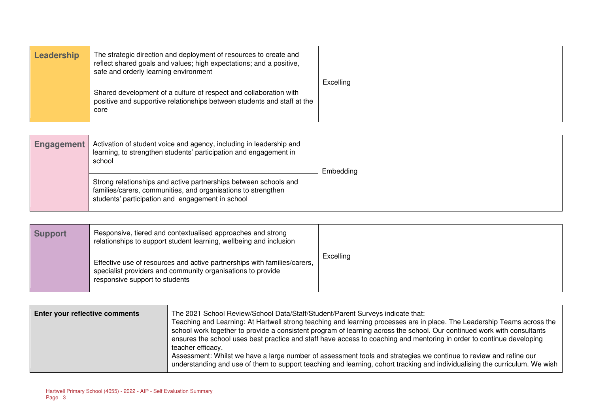| Leadership | The strategic direction and deployment of resources to create and<br>reflect shared goals and values; high expectations; and a positive,<br>safe and orderly learning environment | <b>Excelling</b> |
|------------|-----------------------------------------------------------------------------------------------------------------------------------------------------------------------------------|------------------|
|            | Shared development of a culture of respect and collaboration with<br>positive and supportive relationships between students and staff at the<br>core                              |                  |

| Engagement | Activation of student voice and agency, including in leadership and<br>learning, to strengthen students' participation and engagement in<br>school                                    | Embedding |
|------------|---------------------------------------------------------------------------------------------------------------------------------------------------------------------------------------|-----------|
|            | Strong relationships and active partnerships between schools and<br>families/carers, communities, and organisations to strengthen<br>students' participation and engagement in school |           |

| <b>Support</b> | Responsive, tiered and contextualised approaches and strong<br>relationships to support student learning, wellbeing and inclusion                                         |           |
|----------------|---------------------------------------------------------------------------------------------------------------------------------------------------------------------------|-----------|
|                | Effective use of resources and active partnerships with families/carers,<br>specialist providers and community organisations to provide<br>responsive support to students | Excelling |

| Enter your reflective comments | The 2021 School Review/School Data/Staff/Student/Parent Surveys indicate that:<br>Teaching and Learning: At Hartwell strong teaching and learning processes are in place. The Leadership Teams across the<br>school work together to provide a consistent program of learning across the school. Our continued work with consultants<br>ensures the school uses best practice and staff have access to coaching and mentoring in order to continue developing<br>teacher efficacy.<br>Assessment: Whilst we have a large number of assessment tools and strategies we continue to review and refine our |
|--------------------------------|---------------------------------------------------------------------------------------------------------------------------------------------------------------------------------------------------------------------------------------------------------------------------------------------------------------------------------------------------------------------------------------------------------------------------------------------------------------------------------------------------------------------------------------------------------------------------------------------------------|
|                                | understanding and use of them to support teaching and learning, cohort tracking and individualising the curriculum. We wish                                                                                                                                                                                                                                                                                                                                                                                                                                                                             |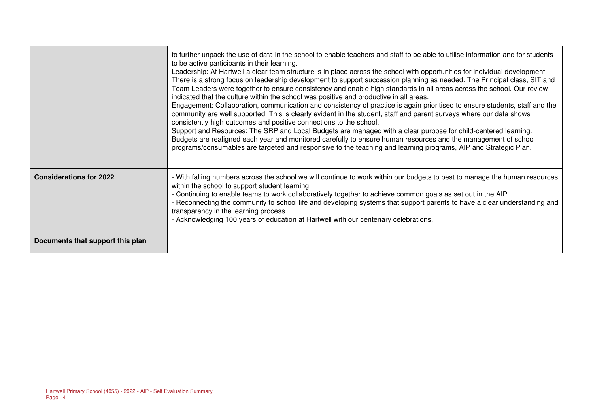|                                  | to further unpack the use of data in the school to enable teachers and staff to be able to utilise information and for students<br>to be active participants in their learning.<br>Leadership: At Hartwell a clear team structure is in place across the school with opportunities for individual development.<br>There is a strong focus on leadership development to support succession planning as needed. The Principal class, SIT and<br>Team Leaders were together to ensure consistency and enable high standards in all areas across the school. Our review<br>indicated that the culture within the school was positive and productive in all areas.<br>Engagement: Collaboration, communication and consistency of practice is again prioritised to ensure students, staff and the<br>community are well supported. This is clearly evident in the student, staff and parent surveys where our data shows<br>consistently high outcomes and positive connections to the school.<br>Support and Resources: The SRP and Local Budgets are managed with a clear purpose for child-centered learning.<br>Budgets are realigned each year and monitored carefully to ensure human resources and the management of school<br>programs/consumables are targeted and responsive to the teaching and learning programs, AIP and Strategic Plan. |
|----------------------------------|--------------------------------------------------------------------------------------------------------------------------------------------------------------------------------------------------------------------------------------------------------------------------------------------------------------------------------------------------------------------------------------------------------------------------------------------------------------------------------------------------------------------------------------------------------------------------------------------------------------------------------------------------------------------------------------------------------------------------------------------------------------------------------------------------------------------------------------------------------------------------------------------------------------------------------------------------------------------------------------------------------------------------------------------------------------------------------------------------------------------------------------------------------------------------------------------------------------------------------------------------------------------------------------------------------------------------------------------------|
| <b>Considerations for 2022</b>   | - With falling numbers across the school we will continue to work within our budgets to best to manage the human resources<br>within the school to support student learning.<br>- Continuing to enable teams to work collaboratively together to achieve common goals as set out in the AIP<br>- Reconnecting the community to school life and developing systems that support parents to have a clear understanding and<br>transparency in the learning process.<br>- Acknowledging 100 years of education at Hartwell with our centenary celebrations.                                                                                                                                                                                                                                                                                                                                                                                                                                                                                                                                                                                                                                                                                                                                                                                         |
| Documents that support this plan |                                                                                                                                                                                                                                                                                                                                                                                                                                                                                                                                                                                                                                                                                                                                                                                                                                                                                                                                                                                                                                                                                                                                                                                                                                                                                                                                                  |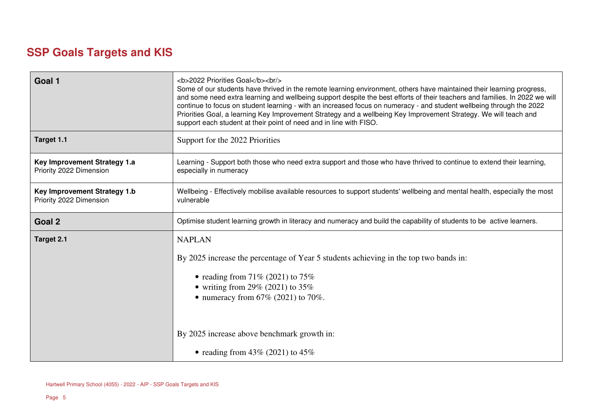## **SSP Goals Targets and KIS**

| Goal 1                                                  | <b>2022 Priorities Goal</b><br><br><br>Some of our students have thrived in the remote learning environment, others have maintained their learning progress,<br>and some need extra learning and wellbeing support despite the best efforts of their teachers and families. In 2022 we will<br>continue to focus on student learning - with an increased focus on numeracy - and student wellbeing through the 2022<br>Priorities Goal, a learning Key Improvement Strategy and a wellbeing Key Improvement Strategy. We will teach and<br>support each student at their point of need and in line with FISO. |
|---------------------------------------------------------|---------------------------------------------------------------------------------------------------------------------------------------------------------------------------------------------------------------------------------------------------------------------------------------------------------------------------------------------------------------------------------------------------------------------------------------------------------------------------------------------------------------------------------------------------------------------------------------------------------------|
| Target 1.1                                              | Support for the 2022 Priorities                                                                                                                                                                                                                                                                                                                                                                                                                                                                                                                                                                               |
| Key Improvement Strategy 1.a<br>Priority 2022 Dimension | Learning - Support both those who need extra support and those who have thrived to continue to extend their learning,<br>especially in numeracy                                                                                                                                                                                                                                                                                                                                                                                                                                                               |
| Key Improvement Strategy 1.b<br>Priority 2022 Dimension | Wellbeing - Effectively mobilise available resources to support students' wellbeing and mental health, especially the most<br>vulnerable                                                                                                                                                                                                                                                                                                                                                                                                                                                                      |
| Goal 2                                                  | Optimise student learning growth in literacy and numeracy and build the capability of students to be active learners.                                                                                                                                                                                                                                                                                                                                                                                                                                                                                         |
| Target 2.1                                              | <b>NAPLAN</b>                                                                                                                                                                                                                                                                                                                                                                                                                                                                                                                                                                                                 |
|                                                         | By 2025 increase the percentage of Year 5 students achieving in the top two bands in:                                                                                                                                                                                                                                                                                                                                                                                                                                                                                                                         |
|                                                         | • reading from $71\%$ (2021) to $75\%$                                                                                                                                                                                                                                                                                                                                                                                                                                                                                                                                                                        |
|                                                         | • writing from 29% (2021) to $35\%$                                                                                                                                                                                                                                                                                                                                                                                                                                                                                                                                                                           |
|                                                         | • numeracy from $67\%$ (2021) to 70%.                                                                                                                                                                                                                                                                                                                                                                                                                                                                                                                                                                         |
|                                                         |                                                                                                                                                                                                                                                                                                                                                                                                                                                                                                                                                                                                               |
|                                                         | By 2025 increase above benchmark growth in:                                                                                                                                                                                                                                                                                                                                                                                                                                                                                                                                                                   |
|                                                         | • reading from $43\%$ (2021) to $45\%$                                                                                                                                                                                                                                                                                                                                                                                                                                                                                                                                                                        |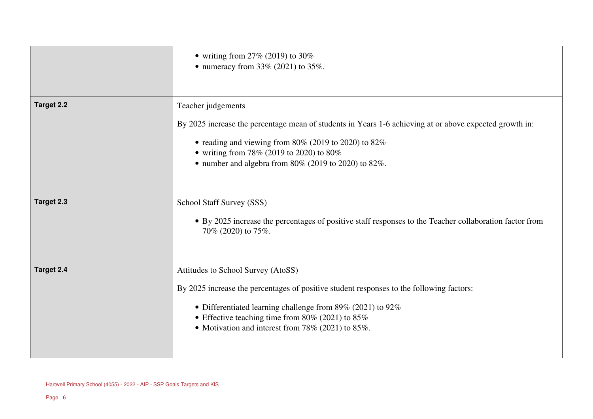|                   | • writing from $27\%$ (2019) to 30%<br>• numeracy from $33\%$ (2021) to $35\%$ .                                                                                                                                                                                                                            |
|-------------------|-------------------------------------------------------------------------------------------------------------------------------------------------------------------------------------------------------------------------------------------------------------------------------------------------------------|
| <b>Target 2.2</b> | Teacher judgements<br>By 2025 increase the percentage mean of students in Years 1-6 achieving at or above expected growth in:<br>• reading and viewing from 80% (2019 to 2020) to $82\%$<br>• writing from 78% (2019 to 2020) to 80%<br>• number and algebra from $80\%$ (2019 to 2020) to $82\%$ .         |
| Target 2.3        | School Staff Survey (SSS)<br>• By 2025 increase the percentages of positive staff responses to the Teacher collaboration factor from<br>70% (2020) to 75%.                                                                                                                                                  |
| Target 2.4        | Attitudes to School Survey (AtoSS)<br>By 2025 increase the percentages of positive student responses to the following factors:<br>• Differentiated learning challenge from 89% (2021) to 92%<br>• Effective teaching time from $80\%$ (2021) to $85\%$<br>• Motivation and interest from 78% (2021) to 85%. |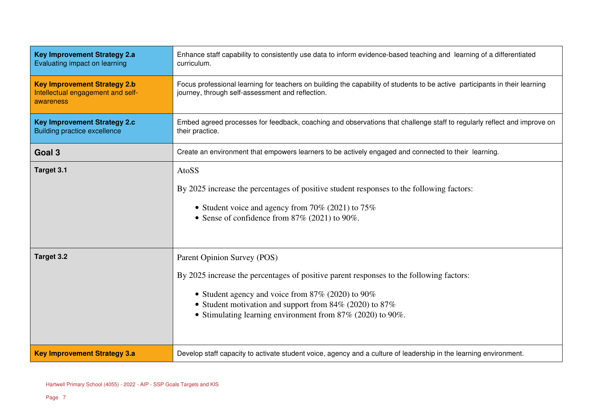| <b>Key Improvement Strategy 2.a</b><br>Evaluating impact on learning                  | Enhance staff capability to consistently use data to inform evidence-based teaching and learning of a differentiated<br>curriculum.                                                                                                                                                                           |
|---------------------------------------------------------------------------------------|---------------------------------------------------------------------------------------------------------------------------------------------------------------------------------------------------------------------------------------------------------------------------------------------------------------|
| <b>Key Improvement Strategy 2.b</b><br>Intellectual engagement and self-<br>awareness | Focus professional learning for teachers on building the capability of students to be active participants in their learning<br>journey, through self-assessment and reflection.                                                                                                                               |
| <b>Key Improvement Strategy 2.c</b><br><b>Building practice excellence</b>            | Embed agreed processes for feedback, coaching and observations that challenge staff to regularly reflect and improve on<br>their practice.                                                                                                                                                                    |
| Goal 3                                                                                | Create an environment that empowers learners to be actively engaged and connected to their learning.                                                                                                                                                                                                          |
| Target 3.1                                                                            | AtoSS<br>By 2025 increase the percentages of positive student responses to the following factors:<br>• Student voice and agency from 70% (2021) to $75\%$<br>• Sense of confidence from $87\%$ (2021) to 90%.                                                                                                 |
| <b>Target 3.2</b>                                                                     | Parent Opinion Survey (POS)<br>By 2025 increase the percentages of positive parent responses to the following factors:<br>• Student agency and voice from $87\%$ (2020) to 90%<br>• Student motivation and support from $84\%$ (2020) to $87\%$<br>• Stimulating learning environment from 87% (2020) to 90%. |
| <b>Key Improvement Strategy 3.a</b>                                                   | Develop staff capacity to activate student voice, agency and a culture of leadership in the learning environment.                                                                                                                                                                                             |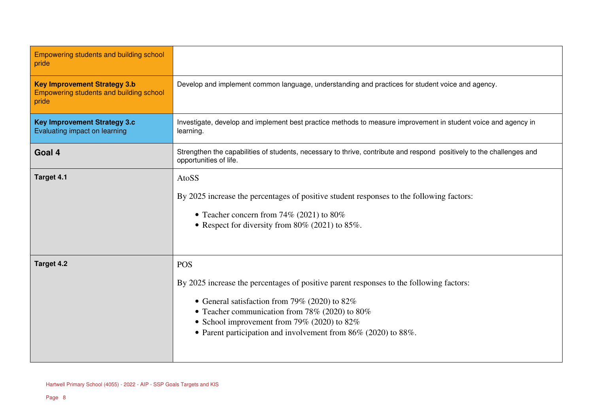| Empowering students and building school                                                 |                                                                                                                                                                                                                                                                                                                                        |
|-----------------------------------------------------------------------------------------|----------------------------------------------------------------------------------------------------------------------------------------------------------------------------------------------------------------------------------------------------------------------------------------------------------------------------------------|
| pride                                                                                   |                                                                                                                                                                                                                                                                                                                                        |
| <b>Key Improvement Strategy 3.b</b><br>Empowering students and building school<br>pride | Develop and implement common language, understanding and practices for student voice and agency.                                                                                                                                                                                                                                       |
| <b>Key Improvement Strategy 3.c</b><br>Evaluating impact on learning                    | Investigate, develop and implement best practice methods to measure improvement in student voice and agency in<br>learning.                                                                                                                                                                                                            |
| Goal 4                                                                                  | Strengthen the capabilities of students, necessary to thrive, contribute and respond positively to the challenges and<br>opportunities of life.                                                                                                                                                                                        |
| <b>Target 4.1</b>                                                                       | AtoSS<br>By 2025 increase the percentages of positive student responses to the following factors:<br>• Teacher concern from 74% (2021) to 80%<br>• Respect for diversity from $80\%$ (2021) to $85\%$ .                                                                                                                                |
| Target 4.2                                                                              | <b>POS</b><br>By 2025 increase the percentages of positive parent responses to the following factors:<br>• General satisfaction from 79% (2020) to $82\%$<br>• Teacher communication from 78% (2020) to 80%<br>• School improvement from 79% (2020) to $82\%$<br>• Parent participation and involvement from $86\%$ (2020) to $88\%$ . |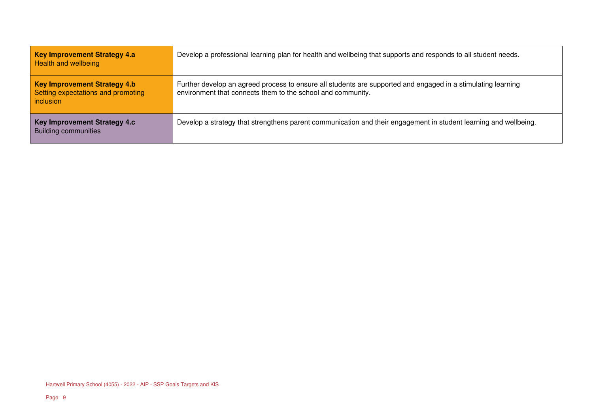| <b>Key Improvement Strategy 4.a</b><br><b>Health and wellbeing</b>                     | Develop a professional learning plan for health and wellbeing that supports and responds to all student needs.                                                              |
|----------------------------------------------------------------------------------------|-----------------------------------------------------------------------------------------------------------------------------------------------------------------------------|
| <b>Key Improvement Strategy 4.b</b><br>Setting expectations and promoting<br>inclusion | Further develop an agreed process to ensure all students are supported and engaged in a stimulating learning<br>environment that connects them to the school and community. |
| <b>Key Improvement Strategy 4.c</b><br><b>Building communities</b>                     | Develop a strategy that strengthens parent communication and their engagement in student learning and wellbeing.                                                            |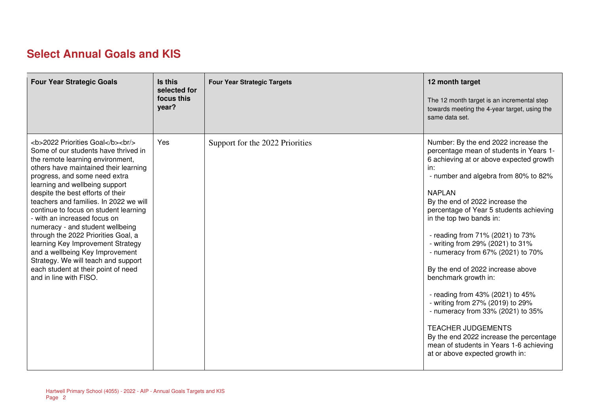## **Select Annual Goals and KIS**

| <b>Four Year Strategic Goals</b>                                                                                                                                                              | Is this<br>selected for<br>focus this<br>year? | <b>Four Year Strategic Targets</b> | 12 month target<br>The 12 month target is an incremental step<br>towards meeting the 4-year target, using the<br>same data set.                                                                                                                                                                                                                                                                                                                                                                                                                                                                                                                                                                                                                   |
|-----------------------------------------------------------------------------------------------------------------------------------------------------------------------------------------------|------------------------------------------------|------------------------------------|---------------------------------------------------------------------------------------------------------------------------------------------------------------------------------------------------------------------------------------------------------------------------------------------------------------------------------------------------------------------------------------------------------------------------------------------------------------------------------------------------------------------------------------------------------------------------------------------------------------------------------------------------------------------------------------------------------------------------------------------------|
| <b>2022 Priorities Goal</b><br><br><br>Some of our students have thrived in<br>the remote learning environment,<br>others have maintained their learning<br>progress, and some need extra<br> | Yes                                            | Support for the 2022 Priorities    | Number: By the end 2022 increase the<br>percentage mean of students in Years 1-<br>6 achieving at or above expected growth<br>in:<br>- number and algebra from 80% to 82%<br><b>NAPLAN</b><br>By the end of 2022 increase the<br>percentage of Year 5 students achieving<br>in the top two bands in:<br>- reading from 71% (2021) to 73%<br>- writing from 29% (2021) to 31%<br>- numeracy from 67% (2021) to 70%<br>By the end of 2022 increase above<br>benchmark growth in:<br>- reading from 43% (2021) to 45%<br>- writing from 27% (2019) to 29%<br>- numeracy from 33% (2021) to 35%<br><b>TEACHER JUDGEMENTS</b><br>By the end 2022 increase the percentage<br>mean of students in Years 1-6 achieving<br>at or above expected growth in: |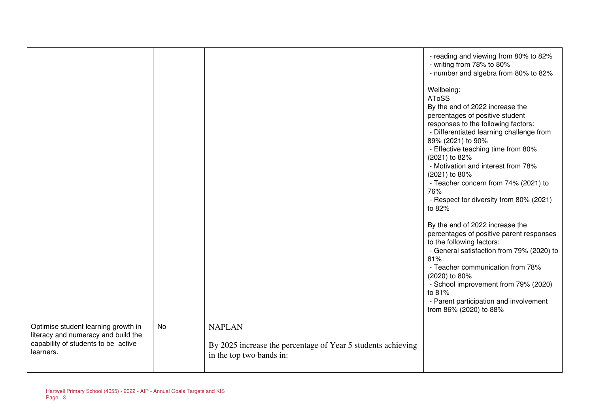|                                                                            |    |                                                                                          | - reading and viewing from 80% to 82%<br>- writing from 78% to 80%<br>- number and algebra from 80% to 82% |
|----------------------------------------------------------------------------|----|------------------------------------------------------------------------------------------|------------------------------------------------------------------------------------------------------------|
|                                                                            |    |                                                                                          | Wellbeing:<br><b>AToSS</b>                                                                                 |
|                                                                            |    |                                                                                          | By the end of 2022 increase the<br>percentages of positive student<br>responses to the following factors:  |
|                                                                            |    |                                                                                          | - Differentiated learning challenge from<br>89% (2021) to 90%                                              |
|                                                                            |    |                                                                                          | - Effective teaching time from 80%<br>(2021) to 82%                                                        |
|                                                                            |    |                                                                                          | - Motivation and interest from 78%<br>(2021) to 80%                                                        |
|                                                                            |    |                                                                                          | - Teacher concern from 74% (2021) to<br>76%                                                                |
|                                                                            |    |                                                                                          | - Respect for diversity from 80% (2021)<br>to 82%                                                          |
|                                                                            |    |                                                                                          | By the end of 2022 increase the<br>percentages of positive parent responses                                |
|                                                                            |    |                                                                                          | to the following factors:<br>- General satisfaction from 79% (2020) to<br>81%                              |
|                                                                            |    |                                                                                          | - Teacher communication from 78%<br>(2020) to 80%                                                          |
|                                                                            |    |                                                                                          | - School improvement from 79% (2020)<br>to 81%                                                             |
|                                                                            |    |                                                                                          | - Parent participation and involvement<br>from 86% (2020) to 88%                                           |
| Optimise student learning growth in<br>literacy and numeracy and build the | No | <b>NAPLAN</b>                                                                            |                                                                                                            |
| capability of students to be active<br>learners.                           |    | By 2025 increase the percentage of Year 5 students achieving<br>in the top two bands in: |                                                                                                            |
|                                                                            |    |                                                                                          |                                                                                                            |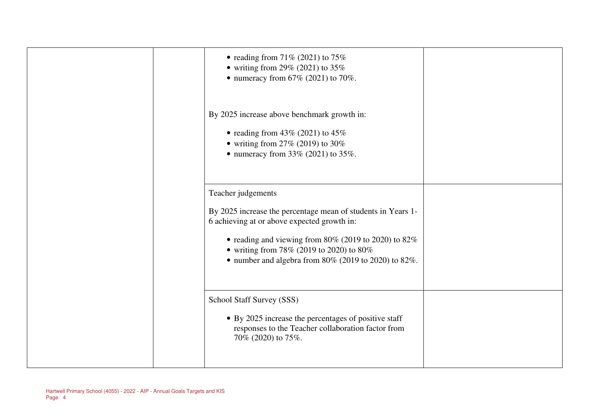| • reading from $71\%$ (2021) to $75\%$<br>• writing from 29% (2021) to $35\%$<br>• numeracy from $67\%$ (2021) to 70%.                                                                                                                                                                               |  |
|------------------------------------------------------------------------------------------------------------------------------------------------------------------------------------------------------------------------------------------------------------------------------------------------------|--|
| By 2025 increase above benchmark growth in:<br>• reading from $43\%$ (2021) to $45\%$<br>• writing from $27\%$ (2019) to 30%<br>• numeracy from $33\%$ (2021) to $35\%$ .                                                                                                                            |  |
| Teacher judgements<br>By 2025 increase the percentage mean of students in Years 1-<br>6 achieving at or above expected growth in:<br>• reading and viewing from 80% (2019 to 2020) to 82%<br>• writing from 78% (2019 to 2020) to 80%<br>• number and algebra from $80\%$ (2019 to 2020) to $82\%$ . |  |
| School Staff Survey (SSS)<br>• By 2025 increase the percentages of positive staff<br>responses to the Teacher collaboration factor from<br>70% (2020) to 75%.                                                                                                                                        |  |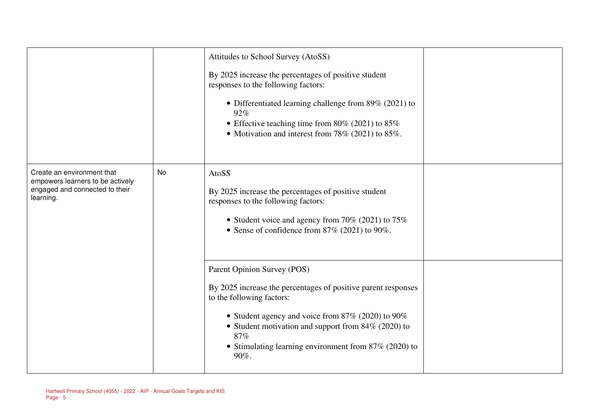|                                                                                                               |    | Attitudes to School Survey (AtoSS)<br>By 2025 increase the percentages of positive student<br>responses to the following factors:<br>• Differentiated learning challenge from $89\%$ (2021) to<br>92%<br>• Effective teaching time from 80% (2021) to $85\%$<br>• Motivation and interest from $78\%$ (2021) to 85%.   |  |
|---------------------------------------------------------------------------------------------------------------|----|------------------------------------------------------------------------------------------------------------------------------------------------------------------------------------------------------------------------------------------------------------------------------------------------------------------------|--|
| Create an environment that<br>empowers learners to be actively<br>engaged and connected to their<br>learning. | No | AtoSS<br>By 2025 increase the percentages of positive student<br>responses to the following factors:<br>• Student voice and agency from 70% (2021) to $75\%$<br>• Sense of confidence from $87\%$ (2021) to 90%.                                                                                                       |  |
|                                                                                                               |    | Parent Opinion Survey (POS)<br>By 2025 increase the percentages of positive parent responses<br>to the following factors:<br>• Student agency and voice from $87\%$ (2020) to 90%<br>• Student motivation and support from $84\%$ (2020) to<br>87%<br>• Stimulating learning environment from $87\%$ (2020) to<br>90%. |  |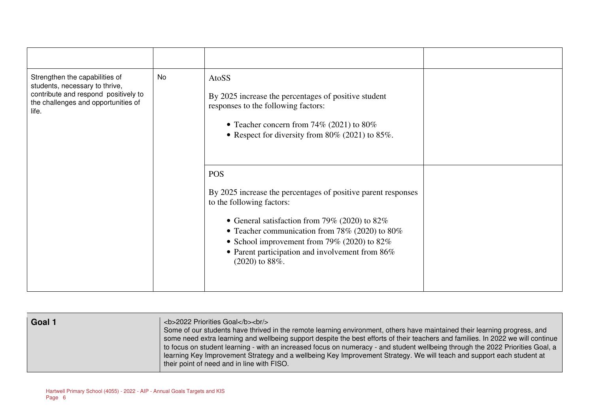| Strengthen the capabilities of<br>students, necessary to thrive,<br>contribute and respond positively to<br>the challenges and opportunities of<br>life. | No | AtoSS<br>By 2025 increase the percentages of positive student<br>responses to the following factors:<br>• Teacher concern from 74% (2021) to 80%<br>• Respect for diversity from $80\%$ (2021) to $85\%$ .                                                                                                                              |  |
|----------------------------------------------------------------------------------------------------------------------------------------------------------|----|-----------------------------------------------------------------------------------------------------------------------------------------------------------------------------------------------------------------------------------------------------------------------------------------------------------------------------------------|--|
|                                                                                                                                                          |    | <b>POS</b><br>By 2025 increase the percentages of positive parent responses<br>to the following factors:<br>• General satisfaction from 79% (2020) to $82\%$<br>• Teacher communication from 78% (2020) to 80%<br>• School improvement from 79% (2020) to $82\%$<br>• Parent participation and involvement from 86%<br>$(2020)$ to 88%. |  |

| Goal 1 | <b>2022 Priorities Goal</b><br><br><br>Some of our students have thrived in the remote learning environment, others have maintained their learning progress, and<br>some need extra learning and wellbeing support despite the best efforts of their teachers and families. In 2022 we will continue<br>to focus on student learning - with an increased focus on numeracy - and student wellbeing through the 2022 Priorities Goal, a<br>learning Key Improvement Strategy and a wellbeing Key Improvement Strategy. We will teach and support each student at<br>their point of need and in line with FISO. |
|--------|---------------------------------------------------------------------------------------------------------------------------------------------------------------------------------------------------------------------------------------------------------------------------------------------------------------------------------------------------------------------------------------------------------------------------------------------------------------------------------------------------------------------------------------------------------------------------------------------------------------|
|        |                                                                                                                                                                                                                                                                                                                                                                                                                                                                                                                                                                                                               |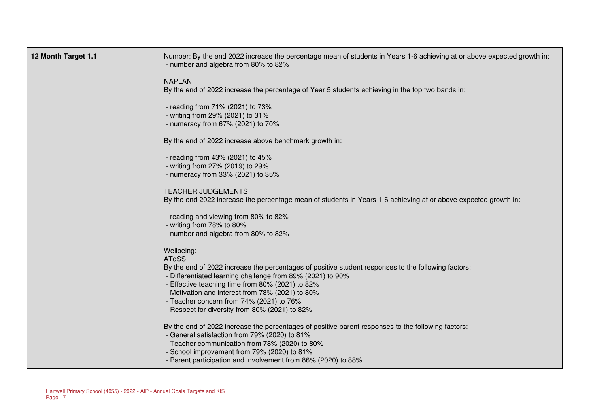| 12 Month Target 1.1 | Number: By the end 2022 increase the percentage mean of students in Years 1-6 achieving at or above expected growth in:<br>- number and algebra from 80% to 82%                                                                                                                                                                                                                                       |
|---------------------|-------------------------------------------------------------------------------------------------------------------------------------------------------------------------------------------------------------------------------------------------------------------------------------------------------------------------------------------------------------------------------------------------------|
|                     | <b>NAPLAN</b><br>By the end of 2022 increase the percentage of Year 5 students achieving in the top two bands in:                                                                                                                                                                                                                                                                                     |
|                     | - reading from 71% (2021) to 73%<br>- writing from 29% (2021) to 31%<br>- numeracy from 67% (2021) to 70%                                                                                                                                                                                                                                                                                             |
|                     | By the end of 2022 increase above benchmark growth in:                                                                                                                                                                                                                                                                                                                                                |
|                     | - reading from 43% (2021) to 45%<br>- writing from 27% (2019) to 29%<br>- numeracy from 33% (2021) to 35%                                                                                                                                                                                                                                                                                             |
|                     | <b>TEACHER JUDGEMENTS</b><br>By the end 2022 increase the percentage mean of students in Years 1-6 achieving at or above expected growth in:                                                                                                                                                                                                                                                          |
|                     | - reading and viewing from 80% to 82%<br>- writing from 78% to 80%<br>- number and algebra from 80% to 82%                                                                                                                                                                                                                                                                                            |
|                     | Wellbeing:<br><b>AToSS</b><br>By the end of 2022 increase the percentages of positive student responses to the following factors:<br>- Differentiated learning challenge from 89% (2021) to 90%<br>- Effective teaching time from 80% (2021) to 82%<br>- Motivation and interest from 78% (2021) to 80%<br>- Teacher concern from 74% (2021) to 76%<br>- Respect for diversity from 80% (2021) to 82% |
|                     | By the end of 2022 increase the percentages of positive parent responses to the following factors:<br>- General satisfaction from 79% (2020) to 81%<br>- Teacher communication from 78% (2020) to 80%<br>- School improvement from 79% (2020) to 81%<br>- Parent participation and involvement from 86% (2020) to 88%                                                                                 |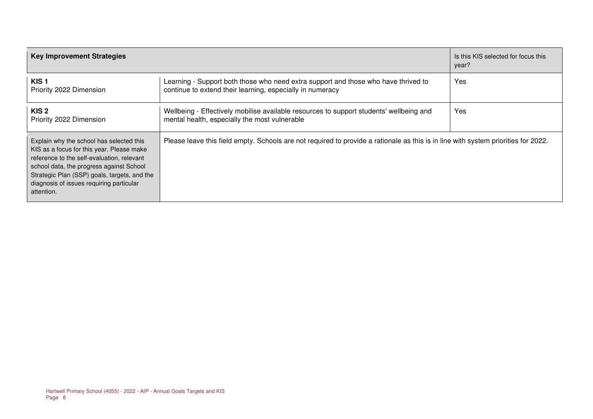| <b>Key Improvement Strategies</b>                                                                                                                                                                                                                                                         |                                                                                                                                                 | Is this KIS selected for focus this<br>year? |
|-------------------------------------------------------------------------------------------------------------------------------------------------------------------------------------------------------------------------------------------------------------------------------------------|-------------------------------------------------------------------------------------------------------------------------------------------------|----------------------------------------------|
| KIS <sub>1</sub><br>Priority 2022 Dimension                                                                                                                                                                                                                                               | Learning - Support both those who need extra support and those who have thrived to<br>continue to extend their learning, especially in numeracy | Yes                                          |
| KIS <sub>2</sub><br>Priority 2022 Dimension                                                                                                                                                                                                                                               | Wellbeing - Effectively mobilise available resources to support students' wellbeing and<br>mental health, especially the most vulnerable        | Yes                                          |
| Explain why the school has selected this<br>KIS as a focus for this year. Please make<br>reference to the self-evaluation, relevant<br>school data, the progress against School<br>Strategic Plan (SSP) goals, targets, and the<br>diagnosis of issues requiring particular<br>attention. | Please leave this field empty. Schools are not required to provide a rationale as this is in line with system priorities for 2022.              |                                              |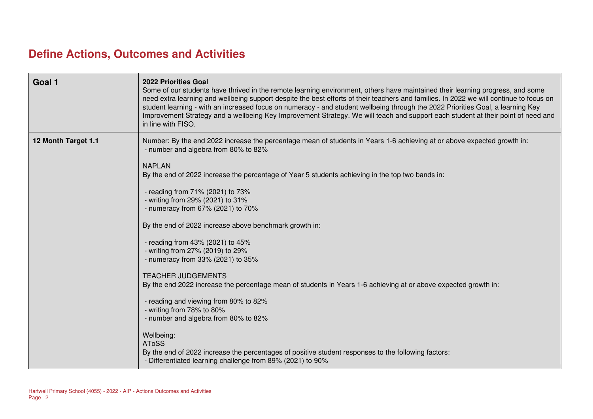### **Define Actions, Outcomes and Activities**

| Goal 1              | 2022 Priorities Goal<br>Some of our students have thrived in the remote learning environment, others have maintained their learning progress, and some<br>need extra learning and wellbeing support despite the best efforts of their teachers and families. In 2022 we will continue to focus on<br>student learning - with an increased focus on numeracy - and student wellbeing through the 2022 Priorities Goal, a learning Key<br>Improvement Strategy and a wellbeing Key Improvement Strategy. We will teach and support each student at their point of need and<br>in line with FISO.                                                                                                                                                                                                                                                                                                                                                                                                                                            |
|---------------------|-------------------------------------------------------------------------------------------------------------------------------------------------------------------------------------------------------------------------------------------------------------------------------------------------------------------------------------------------------------------------------------------------------------------------------------------------------------------------------------------------------------------------------------------------------------------------------------------------------------------------------------------------------------------------------------------------------------------------------------------------------------------------------------------------------------------------------------------------------------------------------------------------------------------------------------------------------------------------------------------------------------------------------------------|
| 12 Month Target 1.1 | Number: By the end 2022 increase the percentage mean of students in Years 1-6 achieving at or above expected growth in:<br>- number and algebra from 80% to 82%<br><b>NAPLAN</b><br>By the end of 2022 increase the percentage of Year 5 students achieving in the top two bands in:<br>- reading from 71% (2021) to 73%<br>- writing from 29% (2021) to 31%<br>- numeracy from 67% (2021) to 70%<br>By the end of 2022 increase above benchmark growth in:<br>- reading from 43% (2021) to 45%<br>- writing from 27% (2019) to 29%<br>- numeracy from 33% (2021) to 35%<br><b>TEACHER JUDGEMENTS</b><br>By the end 2022 increase the percentage mean of students in Years 1-6 achieving at or above expected growth in:<br>- reading and viewing from 80% to 82%<br>- writing from 78% to 80%<br>- number and algebra from 80% to 82%<br>Wellbeing:<br><b>AToSS</b><br>By the end of 2022 increase the percentages of positive student responses to the following factors:<br>- Differentiated learning challenge from 89% (2021) to 90% |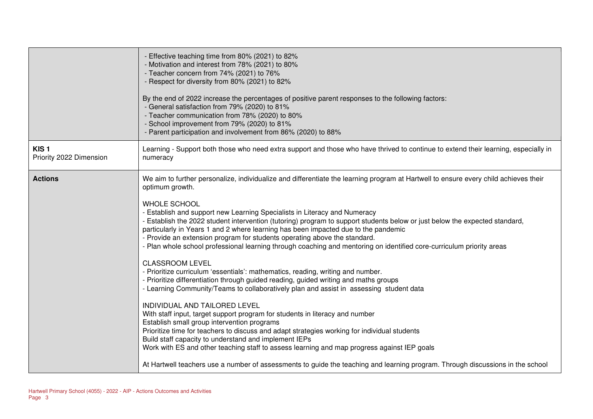|                                             | - Effective teaching time from 80% (2021) to 82%<br>- Motivation and interest from 78% (2021) to 80%<br>- Teacher concern from 74% (2021) to 76%<br>- Respect for diversity from 80% (2021) to 82%<br>By the end of 2022 increase the percentages of positive parent responses to the following factors:<br>- General satisfaction from 79% (2020) to 81%<br>- Teacher communication from 78% (2020) to 80%<br>- School improvement from 79% (2020) to 81%<br>- Parent participation and involvement from 86% (2020) to 88%                                                                                                                                                                                                                                                                                                                                                                                                                                                                                                                                                                                                                                                                                                                                                                                                                                                                                                                                                                                                                      |
|---------------------------------------------|--------------------------------------------------------------------------------------------------------------------------------------------------------------------------------------------------------------------------------------------------------------------------------------------------------------------------------------------------------------------------------------------------------------------------------------------------------------------------------------------------------------------------------------------------------------------------------------------------------------------------------------------------------------------------------------------------------------------------------------------------------------------------------------------------------------------------------------------------------------------------------------------------------------------------------------------------------------------------------------------------------------------------------------------------------------------------------------------------------------------------------------------------------------------------------------------------------------------------------------------------------------------------------------------------------------------------------------------------------------------------------------------------------------------------------------------------------------------------------------------------------------------------------------------------|
| KIS <sub>1</sub><br>Priority 2022 Dimension | Learning - Support both those who need extra support and those who have thrived to continue to extend their learning, especially in<br>numeracy                                                                                                                                                                                                                                                                                                                                                                                                                                                                                                                                                                                                                                                                                                                                                                                                                                                                                                                                                                                                                                                                                                                                                                                                                                                                                                                                                                                                  |
| <b>Actions</b>                              | We aim to further personalize, individualize and differentiate the learning program at Hartwell to ensure every child achieves their<br>optimum growth.<br><b>WHOLE SCHOOL</b><br>- Establish and support new Learning Specialists in Literacy and Numeracy<br>- Establish the 2022 student intervention (tutoring) program to support students below or just below the expected standard,<br>particularly in Years 1 and 2 where learning has been impacted due to the pandemic<br>- Provide an extension program for students operating above the standard.<br>- Plan whole school professional learning through coaching and mentoring on identified core-curriculum priority areas<br><b>CLASSROOM LEVEL</b><br>- Prioritize curriculum 'essentials': mathematics, reading, writing and number.<br>- Prioritize differentiation through guided reading, guided writing and maths groups<br>- Learning Community/Teams to collaboratively plan and assist in assessing student data<br>INDIVIDUAL AND TAILORED LEVEL<br>With staff input, target support program for students in literacy and number<br>Establish small group intervention programs<br>Prioritize time for teachers to discuss and adapt strategies working for individual students<br>Build staff capacity to understand and implement IEPs<br>Work with ES and other teaching staff to assess learning and map progress against IEP goals<br>At Hartwell teachers use a number of assessments to guide the teaching and learning program. Through discussions in the school |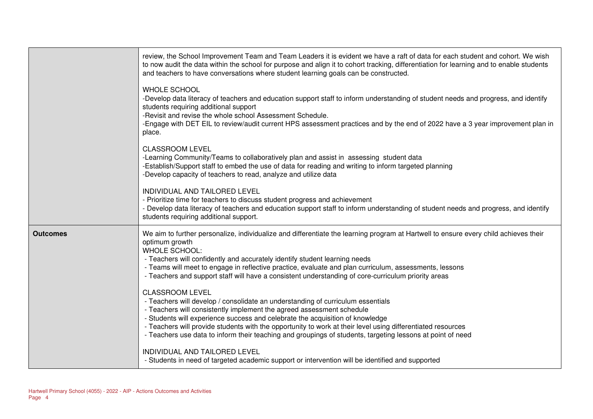|                 | review, the School Improvement Team and Team Leaders it is evident we have a raft of data for each student and cohort. We wish<br>to now audit the data within the school for purpose and align it to cohort tracking, differentiation for learning and to enable students<br>and teachers to have conversations where student learning goals can be constructed.                                                                                                                                |
|-----------------|--------------------------------------------------------------------------------------------------------------------------------------------------------------------------------------------------------------------------------------------------------------------------------------------------------------------------------------------------------------------------------------------------------------------------------------------------------------------------------------------------|
|                 | <b>WHOLE SCHOOL</b><br>-Develop data literacy of teachers and education support staff to inform understanding of student needs and progress, and identify<br>students requiring additional support<br>-Revisit and revise the whole school Assessment Schedule.<br>-Engage with DET EIL to review/audit current HPS assessment practices and by the end of 2022 have a 3 year improvement plan in<br>place.                                                                                      |
|                 | <b>CLASSROOM LEVEL</b><br>-Learning Community/Teams to collaboratively plan and assist in assessing student data<br>-Establish/Support staff to embed the use of data for reading and writing to inform targeted planning<br>-Develop capacity of teachers to read, analyze and utilize data                                                                                                                                                                                                     |
|                 | INDIVIDUAL AND TAILORED LEVEL<br>- Prioritize time for teachers to discuss student progress and achievement<br>- Develop data literacy of teachers and education support staff to inform understanding of student needs and progress, and identify<br>students requiring additional support.                                                                                                                                                                                                     |
| <b>Outcomes</b> | We aim to further personalize, individualize and differentiate the learning program at Hartwell to ensure every child achieves their<br>optimum growth<br><b>WHOLE SCHOOL:</b><br>- Teachers will confidently and accurately identify student learning needs<br>- Teams will meet to engage in reflective practice, evaluate and plan curriculum, assessments, lessons<br>- Teachers and support staff will have a consistent understanding of core-curriculum priority areas                    |
|                 | <b>CLASSROOM LEVEL</b><br>- Teachers will develop / consolidate an understanding of curriculum essentials<br>- Teachers will consistently implement the agreed assessment schedule<br>- Students will experience success and celebrate the acquisition of knowledge<br>- Teachers will provide students with the opportunity to work at their level using differentiated resources<br>- Teachers use data to inform their teaching and groupings of students, targeting lessons at point of need |
|                 | INDIVIDUAL AND TAILORED LEVEL<br>- Students in need of targeted academic support or intervention will be identified and supported                                                                                                                                                                                                                                                                                                                                                                |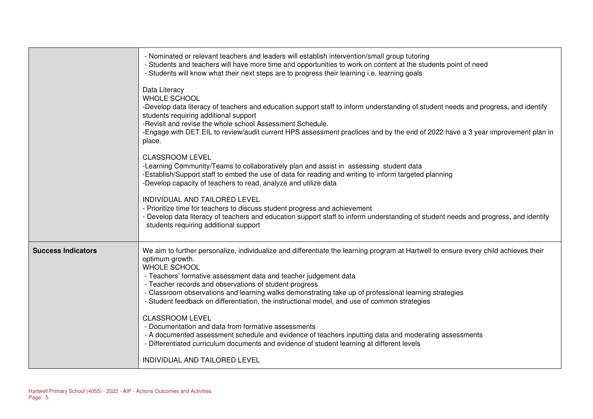|                           | - Nominated or relevant teachers and leaders will establish intervention/small group tutoring<br>- Students and teachers will have more time and opportunities to work on content at the students point of need<br>- Students will know what their next steps are to progress their learning i.e. learning goals                                                                                                                                                                                               |
|---------------------------|----------------------------------------------------------------------------------------------------------------------------------------------------------------------------------------------------------------------------------------------------------------------------------------------------------------------------------------------------------------------------------------------------------------------------------------------------------------------------------------------------------------|
|                           | Data Literacy<br><b>WHOLE SCHOOL</b><br>-Develop data literacy of teachers and education support staff to inform understanding of student needs and progress, and identify<br>students requiring additional support<br>-Revisit and revise the whole school Assessment Schedule.<br>-Engage with DET EIL to review/audit current HPS assessment practices and by the end of 2022 have a 3 year improvement plan in<br>place.                                                                                   |
|                           | <b>CLASSROOM LEVEL</b><br>-Learning Community/Teams to collaboratively plan and assist in assessing student data<br>-Establish/Support staff to embed the use of data for reading and writing to inform targeted planning<br>-Develop capacity of teachers to read, analyze and utilize data                                                                                                                                                                                                                   |
|                           | INDIVIDUAL AND TAILORED LEVEL<br>- Prioritize time for teachers to discuss student progress and achievement<br>- Develop data literacy of teachers and education support staff to inform understanding of student needs and progress, and identify<br>students requiring additional support                                                                                                                                                                                                                    |
| <b>Success Indicators</b> | We aim to further personalize, individualize and differentiate the learning program at Hartwell to ensure every child achieves their<br>optimum growth.<br>WHOLE SCHOOL<br>- Teachers' formative assessment data and teacher judgement data<br>- Teacher records and observations of student progress<br>- Classroom observations and learning walks demonstrating take up of professional learning strategies<br>- Student feedback on differentiation, the instructional model, and use of common strategies |
|                           | <b>CLASSROOM LEVEL</b><br>- Documentation and data from formative assessments<br>- A documented assessment schedule and evidence of teachers inputting data and moderating assessments<br>- Differentiated curriculum documents and evidence of student learning at different levels                                                                                                                                                                                                                           |
|                           | INDIVIDUAL AND TAILORED LEVEL                                                                                                                                                                                                                                                                                                                                                                                                                                                                                  |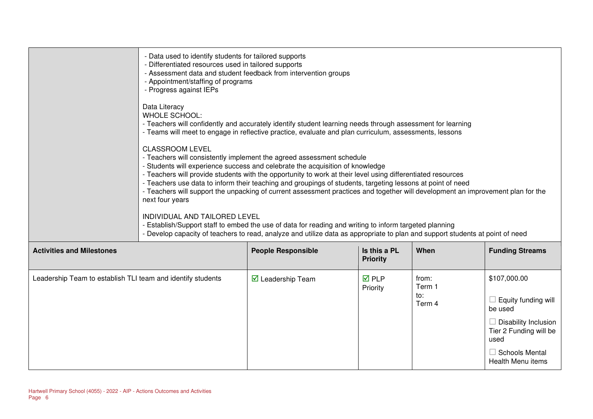|                                                             | - Data used to identify students for tailored supports<br>- Differentiated resources used in tailored supports<br>- Appointment/staffing of programs<br>- Progress against IEPs | - Assessment data and student feedback from intervention groups                                                                                                                                                                                                                                                                                                                                                                                                                                                                                                                                                                                                                                                                                                   |                                 |                                  |                                                                                                                                                 |
|-------------------------------------------------------------|---------------------------------------------------------------------------------------------------------------------------------------------------------------------------------|-------------------------------------------------------------------------------------------------------------------------------------------------------------------------------------------------------------------------------------------------------------------------------------------------------------------------------------------------------------------------------------------------------------------------------------------------------------------------------------------------------------------------------------------------------------------------------------------------------------------------------------------------------------------------------------------------------------------------------------------------------------------|---------------------------------|----------------------------------|-------------------------------------------------------------------------------------------------------------------------------------------------|
|                                                             | Data Literacy<br><b>WHOLE SCHOOL:</b>                                                                                                                                           | - Teachers will confidently and accurately identify student learning needs through assessment for learning<br>- Teams will meet to engage in reflective practice, evaluate and plan curriculum, assessments, lessons                                                                                                                                                                                                                                                                                                                                                                                                                                                                                                                                              |                                 |                                  |                                                                                                                                                 |
|                                                             | <b>CLASSROOM LEVEL</b><br>next four years<br>INDIVIDUAL AND TAILORED LEVEL                                                                                                      | - Teachers will consistently implement the agreed assessment schedule<br>- Students will experience success and celebrate the acquisition of knowledge<br>- Teachers will provide students with the opportunity to work at their level using differentiated resources<br>- Teachers use data to inform their teaching and groupings of students, targeting lessons at point of need<br>- Teachers will support the unpacking of current assessment practices and together will development an improvement plan for the<br>- Establish/Support staff to embed the use of data for reading and writing to inform targeted planning<br>- Develop capacity of teachers to read, analyze and utilize data as appropriate to plan and support students at point of need |                                 |                                  |                                                                                                                                                 |
| <b>Activities and Milestones</b>                            |                                                                                                                                                                                 | <b>People Responsible</b>                                                                                                                                                                                                                                                                                                                                                                                                                                                                                                                                                                                                                                                                                                                                         | Is this a PL<br><b>Priority</b> | When                             | <b>Funding Streams</b>                                                                                                                          |
| Leadership Team to establish TLI team and identify students |                                                                                                                                                                                 | $\overline{\mathbf{M}}$ Leadership Team                                                                                                                                                                                                                                                                                                                                                                                                                                                                                                                                                                                                                                                                                                                           | $\nabla$ PLP<br>Priority        | from:<br>Term 1<br>to:<br>Term 4 | \$107,000.00<br>$\Box$ Equity funding will<br>be used<br>$\Box$ Disability Inclusion<br>Tier 2 Funding will be<br>used<br>$\Box$ Schools Mental |

Health Menu items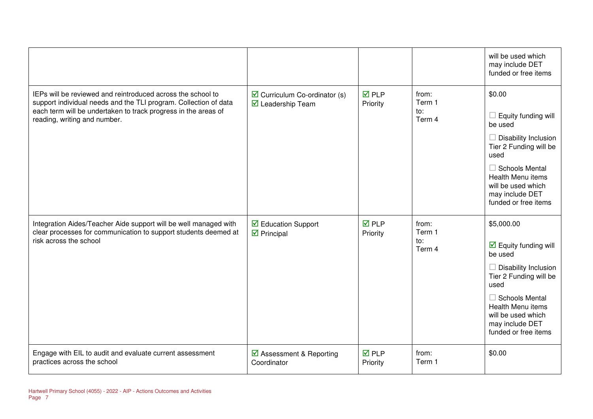|                                                                                                                                                                                                                                   |                                                                   |                          |                                  | will be used which<br>may include DET<br>funded or free items                                                                                                                                                                                               |
|-----------------------------------------------------------------------------------------------------------------------------------------------------------------------------------------------------------------------------------|-------------------------------------------------------------------|--------------------------|----------------------------------|-------------------------------------------------------------------------------------------------------------------------------------------------------------------------------------------------------------------------------------------------------------|
| IEPs will be reviewed and reintroduced across the school to<br>support individual needs and the TLI program. Collection of data<br>each term will be undertaken to track progress in the areas of<br>reading, writing and number. | $\triangleright$ Curriculum Co-ordinator (s)<br>☑ Leadership Team | $\nabla$ PLP<br>Priority | from:<br>Term 1<br>to:<br>Term 4 | \$0.00<br>Equity funding will<br>be used<br>$\Box$ Disability Inclusion<br>Tier 2 Funding will be<br>used<br>$\Box$ Schools Mental<br>Health Menu items<br>will be used which<br>may include DET<br>funded or free items                                    |
| Integration Aides/Teacher Aide support will be well managed with<br>clear processes for communication to support students deemed at<br>risk across the school                                                                     | ☑ Education Support<br>$\triangleright$ Principal                 | $\nabla$ PLP<br>Priority | from:<br>Term 1<br>to:<br>Term 4 | \$5,000.00<br>$\overline{\mathbf{M}}$ Equity funding will<br>be used<br>$\Box$ Disability Inclusion<br>Tier 2 Funding will be<br>used<br>$\Box$ Schools Mental<br><b>Health Menu items</b><br>will be used which<br>may include DET<br>funded or free items |
| Engage with EIL to audit and evaluate current assessment<br>practices across the school                                                                                                                                           | ☑ Assessment & Reporting<br>Coordinator                           | <b>☑</b> PLP<br>Priority | from:<br>Term 1                  | \$0.00                                                                                                                                                                                                                                                      |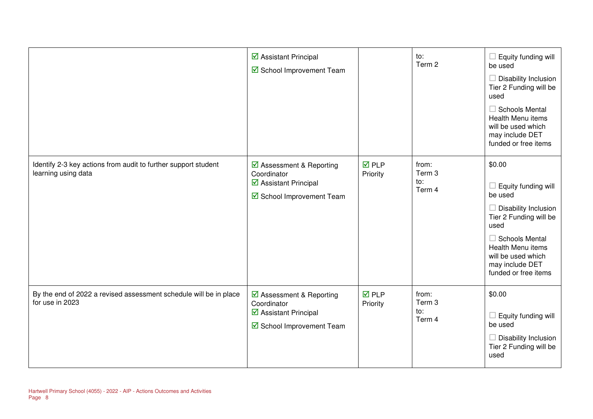|                                                                                       | ☑ Assistant Principal<br>School Improvement Team                                            |                                | to:<br>Term 2                    | Equity funding will<br>be used<br>$\Box$ Disability Inclusion<br>Tier 2 Funding will be<br>used<br>$\Box$ Schools Mental<br>Health Menu items<br>will be used which<br>may include DET<br>funded or free items    |
|---------------------------------------------------------------------------------------|---------------------------------------------------------------------------------------------|--------------------------------|----------------------------------|-------------------------------------------------------------------------------------------------------------------------------------------------------------------------------------------------------------------|
| Identify 2-3 key actions from audit to further support student<br>learning using data | ☑ Assessment & Reporting<br>Coordinator<br>☑ Assistant Principal<br>School Improvement Team | $\nabla$ PLP<br>Priority       | from:<br>Term 3<br>to:<br>Term 4 | \$0.00<br>Equity funding will<br>be used<br>Disability Inclusion<br>Tier 2 Funding will be<br>used<br>$\Box$ Schools Mental<br>Health Menu items<br>will be used which<br>may include DET<br>funded or free items |
| By the end of 2022 a revised assessment schedule will be in place<br>for use in 2023  | ☑ Assessment & Reporting<br>Coordinator<br>☑ Assistant Principal<br>School Improvement Team | $\overline{M}$ PLP<br>Priority | from:<br>Term 3<br>to:<br>Term 4 | \$0.00<br>Equity funding will<br>be used<br>Disability Inclusion<br>Tier 2 Funding will be<br>used                                                                                                                |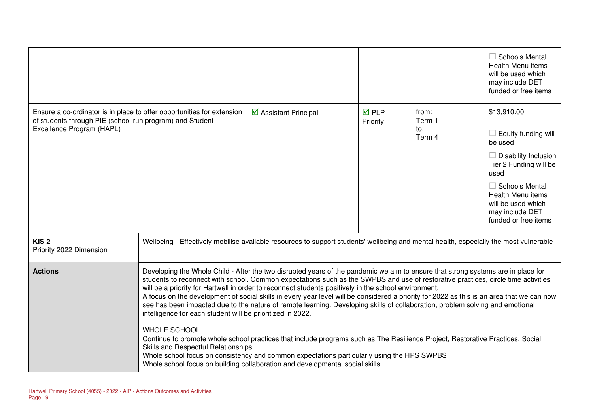|                                                                                                                                                                 |                                                                                                                                                                                                                                                                                                                                                                                                                                                                                                                                                                                                                                                                                                                                                                                                                                                                                                                                                                                                                                                                                                          |                                      |                          |                                  | $\Box$ Schools Mental<br>Health Menu items<br>will be used which<br>may include DET<br>funded or free items                                                                                                                          |
|-----------------------------------------------------------------------------------------------------------------------------------------------------------------|----------------------------------------------------------------------------------------------------------------------------------------------------------------------------------------------------------------------------------------------------------------------------------------------------------------------------------------------------------------------------------------------------------------------------------------------------------------------------------------------------------------------------------------------------------------------------------------------------------------------------------------------------------------------------------------------------------------------------------------------------------------------------------------------------------------------------------------------------------------------------------------------------------------------------------------------------------------------------------------------------------------------------------------------------------------------------------------------------------|--------------------------------------|--------------------------|----------------------------------|--------------------------------------------------------------------------------------------------------------------------------------------------------------------------------------------------------------------------------------|
| Ensure a co-ordinator is in place to offer opportunities for extension<br>of students through PIE (school run program) and Student<br>Excellence Program (HAPL) |                                                                                                                                                                                                                                                                                                                                                                                                                                                                                                                                                                                                                                                                                                                                                                                                                                                                                                                                                                                                                                                                                                          | $\triangleright$ Assistant Principal | <b>☑</b> PLP<br>Priority | from:<br>Term 1<br>to:<br>Term 4 | \$13,910.00<br>$\Box$ Equity funding will<br>be used<br>$\Box$ Disability Inclusion<br>Tier 2 Funding will be<br>used<br>$\Box$ Schools Mental<br>Health Menu items<br>will be used which<br>may include DET<br>funded or free items |
| KIS <sub>2</sub><br>Priority 2022 Dimension                                                                                                                     | Wellbeing - Effectively mobilise available resources to support students' wellbeing and mental health, especially the most vulnerable                                                                                                                                                                                                                                                                                                                                                                                                                                                                                                                                                                                                                                                                                                                                                                                                                                                                                                                                                                    |                                      |                          |                                  |                                                                                                                                                                                                                                      |
| <b>Actions</b>                                                                                                                                                  | Developing the Whole Child - After the two disrupted years of the pandemic we aim to ensure that strong systems are in place for<br>students to reconnect with school. Common expectations such as the SWPBS and use of restorative practices, circle time activities<br>will be a priority for Hartwell in order to reconnect students positively in the school environment.<br>A focus on the development of social skills in every year level will be considered a priority for 2022 as this is an area that we can now<br>see has been impacted due to the nature of remote learning. Developing skills of collaboration, problem solving and emotional<br>intelligence for each student will be prioritized in 2022.<br><b>WHOLE SCHOOL</b><br>Continue to promote whole school practices that include programs such as The Resilience Project, Restorative Practices, Social<br>Skills and Respectful Relationships<br>Whole school focus on consistency and common expectations particularly using the HPS SWPBS<br>Whole school focus on building collaboration and developmental social skills. |                                      |                          |                                  |                                                                                                                                                                                                                                      |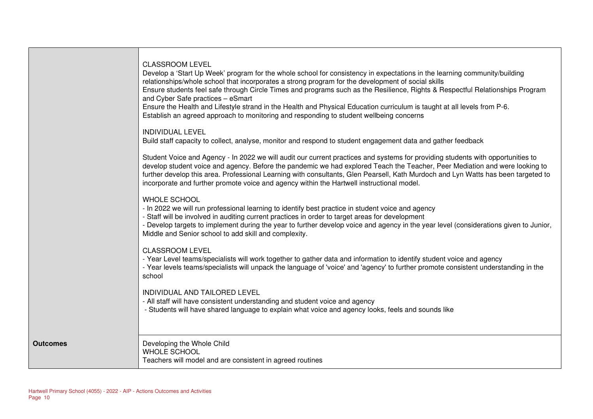|                 | <b>CLASSROOM LEVEL</b><br>Develop a 'Start Up Week' program for the whole school for consistency in expectations in the learning community/building<br>relationships/whole school that incorporates a strong program for the development of social skills<br>Ensure students feel safe through Circle Times and programs such as the Resilience, Rights & Respectful Relationships Program<br>and Cyber Safe practices - eSmart<br>Ensure the Health and Lifestyle strand in the Health and Physical Education curriculum is taught at all levels from P-6.<br>Establish an agreed approach to monitoring and responding to student wellbeing concerns<br><b>INDIVIDUAL LEVEL</b><br>Build staff capacity to collect, analyse, monitor and respond to student engagement data and gather feedback<br>Student Voice and Agency - In 2022 we will audit our current practices and systems for providing students with opportunities to<br>develop student voice and agency. Before the pandemic we had explored Teach the Teacher, Peer Mediation and were looking to<br>further develop this area. Professional Learning with consultants, Glen Pearsell, Kath Murdoch and Lyn Watts has been targeted to<br>incorporate and further promote voice and agency within the Hartwell instructional model.<br><b>WHOLE SCHOOL</b><br>- In 2022 we will run professional learning to identify best practice in student voice and agency<br>- Staff will be involved in auditing current practices in order to target areas for development<br>- Develop targets to implement during the year to further develop voice and agency in the year level (considerations given to Junior,<br>Middle and Senior school to add skill and complexity.<br><b>CLASSROOM LEVEL</b><br>- Year Level teams/specialists will work together to gather data and information to identify student voice and agency<br>- Year levels teams/specialists will unpack the language of 'voice' and 'agency' to further promote consistent understanding in the<br>school<br>INDIVIDUAL AND TAILORED LEVEL<br>- All staff will have consistent understanding and student voice and agency<br>- Students will have shared language to explain what voice and agency looks, feels and sounds like |
|-----------------|------------------------------------------------------------------------------------------------------------------------------------------------------------------------------------------------------------------------------------------------------------------------------------------------------------------------------------------------------------------------------------------------------------------------------------------------------------------------------------------------------------------------------------------------------------------------------------------------------------------------------------------------------------------------------------------------------------------------------------------------------------------------------------------------------------------------------------------------------------------------------------------------------------------------------------------------------------------------------------------------------------------------------------------------------------------------------------------------------------------------------------------------------------------------------------------------------------------------------------------------------------------------------------------------------------------------------------------------------------------------------------------------------------------------------------------------------------------------------------------------------------------------------------------------------------------------------------------------------------------------------------------------------------------------------------------------------------------------------------------------------------------------------------------------------------------------------------------------------------------------------------------------------------------------------------------------------------------------------------------------------------------------------------------------------------------------------------------------------------------------------------------------------------------------------------------------------------------------------------------------------------------|
| <b>Outcomes</b> | Developing the Whole Child<br><b>WHOLE SCHOOL</b><br>Teachers will model and are consistent in agreed routines                                                                                                                                                                                                                                                                                                                                                                                                                                                                                                                                                                                                                                                                                                                                                                                                                                                                                                                                                                                                                                                                                                                                                                                                                                                                                                                                                                                                                                                                                                                                                                                                                                                                                                                                                                                                                                                                                                                                                                                                                                                                                                                                                   |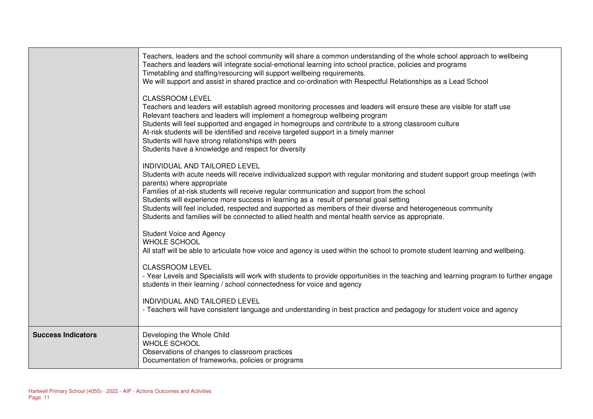|                           | Teachers, leaders and the school community will share a common understanding of the whole school approach to wellbeing<br>Teachers and leaders will integrate social-emotional learning into school practice, policies and programs<br>Timetabling and staffing/resourcing will support wellbeing requirements.<br>We will support and assist in shared practice and co-ordination with Respectful Relationships as a Lead School<br><b>CLASSROOM LEVEL</b>                                                                                                                                                  |
|---------------------------|--------------------------------------------------------------------------------------------------------------------------------------------------------------------------------------------------------------------------------------------------------------------------------------------------------------------------------------------------------------------------------------------------------------------------------------------------------------------------------------------------------------------------------------------------------------------------------------------------------------|
|                           | Teachers and leaders will establish agreed monitoring processes and leaders will ensure these are visible for staff use<br>Relevant teachers and leaders will implement a homegroup wellbeing program<br>Students will feel supported and engaged in homegroups and contribute to a strong classroom culture<br>At-risk students will be identified and receive targeted support in a timely manner<br>Students will have strong relationships with peers<br>Students have a knowledge and respect for diversity                                                                                             |
|                           | INDIVIDUAL AND TAILORED LEVEL<br>Students with acute needs will receive individualized support with regular monitoring and student support group meetings (with<br>parents) where appropriate<br>Families of at-risk students will receive regular communication and support from the school<br>Students will experience more success in learning as a result of personal goal setting<br>Students will feel included, respected and supported as members of their diverse and heterogeneous community<br>Students and families will be connected to allied health and mental health service as appropriate. |
|                           | <b>Student Voice and Agency</b><br><b>WHOLE SCHOOL</b><br>All staff will be able to articulate how voice and agency is used within the school to promote student learning and wellbeing.                                                                                                                                                                                                                                                                                                                                                                                                                     |
|                           | <b>CLASSROOM LEVEL</b><br>- Year Levels and Specialists will work with students to provide opportunities in the teaching and learning program to further engage<br>students in their learning / school connectedness for voice and agency                                                                                                                                                                                                                                                                                                                                                                    |
|                           | INDIVIDUAL AND TAILORED LEVEL<br>- Teachers will have consistent language and understanding in best practice and pedagogy for student voice and agency                                                                                                                                                                                                                                                                                                                                                                                                                                                       |
| <b>Success Indicators</b> | Developing the Whole Child<br>WHOLE SCHOOL<br>Observations of changes to classroom practices<br>Documentation of frameworks, policies or programs                                                                                                                                                                                                                                                                                                                                                                                                                                                            |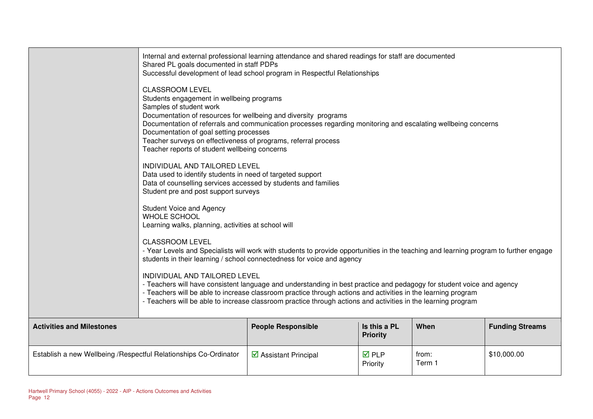|                                                                   | Shared PL goals documented in staff PDPs                                                                                                                                                                                                                                                                                                                                                                                                         | Internal and external professional learning attendance and shared readings for staff are documented<br>Successful development of lead school program in Respectful Relationships |                                 |                 |                        |
|-------------------------------------------------------------------|--------------------------------------------------------------------------------------------------------------------------------------------------------------------------------------------------------------------------------------------------------------------------------------------------------------------------------------------------------------------------------------------------------------------------------------------------|----------------------------------------------------------------------------------------------------------------------------------------------------------------------------------|---------------------------------|-----------------|------------------------|
|                                                                   | <b>CLASSROOM LEVEL</b><br>Students engagement in wellbeing programs<br>Samples of student work<br>Documentation of resources for wellbeing and diversity programs<br>Documentation of referrals and communication processes regarding monitoring and escalating wellbeing concerns<br>Documentation of goal setting processes<br>Teacher surveys on effectiveness of programs, referral process<br>Teacher reports of student wellbeing concerns |                                                                                                                                                                                  |                                 |                 |                        |
|                                                                   | INDIVIDUAL AND TAILORED LEVEL<br>Data used to identify students in need of targeted support<br>Data of counselling services accessed by students and families<br>Student pre and post support surveys                                                                                                                                                                                                                                            |                                                                                                                                                                                  |                                 |                 |                        |
|                                                                   | <b>Student Voice and Agency</b><br><b>WHOLE SCHOOL</b><br>Learning walks, planning, activities at school will                                                                                                                                                                                                                                                                                                                                    |                                                                                                                                                                                  |                                 |                 |                        |
|                                                                   | <b>CLASSROOM LEVEL</b><br>- Year Levels and Specialists will work with students to provide opportunities in the teaching and learning program to further engage<br>students in their learning / school connectedness for voice and agency                                                                                                                                                                                                        |                                                                                                                                                                                  |                                 |                 |                        |
|                                                                   | INDIVIDUAL AND TAILORED LEVEL<br>- Teachers will have consistent language and understanding in best practice and pedagogy for student voice and agency<br>- Teachers will be able to increase classroom practice through actions and activities in the learning program<br>- Teachers will be able to increase classroom practice through actions and activities in the learning program                                                         |                                                                                                                                                                                  |                                 |                 |                        |
| <b>Activities and Milestones</b>                                  |                                                                                                                                                                                                                                                                                                                                                                                                                                                  | <b>People Responsible</b>                                                                                                                                                        | Is this a PL<br><b>Priority</b> | When            | <b>Funding Streams</b> |
| Establish a new Wellbeing / Respectful Relationships Co-Ordinator |                                                                                                                                                                                                                                                                                                                                                                                                                                                  | ☑ Assistant Principal                                                                                                                                                            | $\overline{M}$ PLP<br>Priority  | from:<br>Term 1 | \$10,000.00            |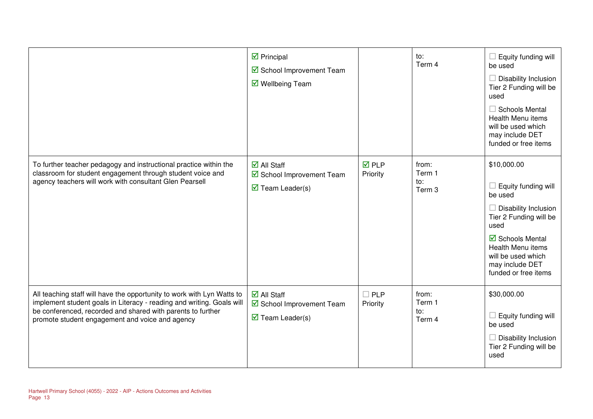|                                                                                                                                                                                                                                                                   | $\triangleright$ Principal<br>School Improvement Team<br>☑ Wellbeing Team                              |                          | to:<br>Term 4                    | Equity funding will<br>be used<br>Disability Inclusion<br>Tier 2 Funding will be<br>used<br>$\Box$ Schools Mental<br>Health Menu items<br>will be used which<br>may include DET<br>funded or free items           |
|-------------------------------------------------------------------------------------------------------------------------------------------------------------------------------------------------------------------------------------------------------------------|--------------------------------------------------------------------------------------------------------|--------------------------|----------------------------------|-------------------------------------------------------------------------------------------------------------------------------------------------------------------------------------------------------------------|
| To further teacher pedagogy and instructional practice within the<br>classroom for student engagement through student voice and<br>agency teachers will work with consultant Glen Pearsell                                                                        | $\overline{\mathsf{M}}$ All Staff<br>School Improvement Team<br>$\overline{\mathbf{M}}$ Team Leader(s) | <b>☑</b> PLP<br>Priority | from:<br>Term 1<br>to:<br>Term 3 | \$10,000.00<br>Equity funding will<br>be used<br>Disability Inclusion<br>Tier 2 Funding will be<br>used<br>☑ Schools Mental<br>Health Menu items<br>will be used which<br>may include DET<br>funded or free items |
| All teaching staff will have the opportunity to work with Lyn Watts to<br>implement student goals in Literacy - reading and writing. Goals will<br>be conferenced, recorded and shared with parents to further<br>promote student engagement and voice and agency | $\overline{\mathsf{M}}$ All Staff<br>School Improvement Team<br>$\overline{\mathbf{M}}$ Team Leader(s) | $\Box$ PLP<br>Priority   | from:<br>Term 1<br>to:<br>Term 4 | \$30,000.00<br>Equity funding will<br>be used<br>Disability Inclusion<br>Tier 2 Funding will be<br>used                                                                                                           |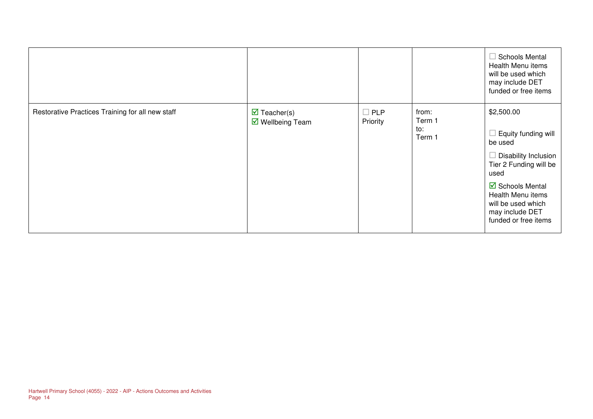|                                                  |                                                        |                        |                                  | $\Box$ Schools Mental<br>Health Menu items<br>will be used which<br>may include DET<br>funded or free items                                                                                                             |
|--------------------------------------------------|--------------------------------------------------------|------------------------|----------------------------------|-------------------------------------------------------------------------------------------------------------------------------------------------------------------------------------------------------------------------|
| Restorative Practices Training for all new staff | $\overline{\mathbf{M}}$ Teacher(s)<br>■ Wellbeing Team | $\Box$ PLP<br>Priority | from:<br>Term 1<br>to:<br>Term 1 | \$2,500.00<br>Equity funding will<br>be used<br>Disability Inclusion<br>Tier 2 Funding will be<br>used<br><b>Ø</b> Schools Mental<br>Health Menu items<br>will be used which<br>may include DET<br>funded or free items |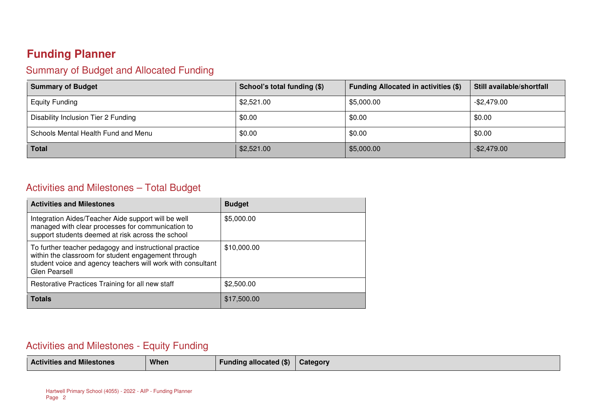## **Funding Planner**

#### Summary of Budget and Allocated Funding

| <b>Summary of Budget</b>            | School's total funding (\$) | <b>Funding Allocated in activities (\$)</b> | Still available/shortfall |
|-------------------------------------|-----------------------------|---------------------------------------------|---------------------------|
| <b>Equity Funding</b>               | \$2,521.00                  | \$5,000.00                                  | $-$2,479.00$              |
| Disability Inclusion Tier 2 Funding | \$0.00                      | \$0.00                                      | \$0.00                    |
| Schools Mental Health Fund and Menu | \$0.00                      | \$0.00                                      | \$0.00                    |
| <b>Total</b>                        | \$2,521.00                  | \$5,000.00                                  | $-$ \$2,479.00            |

#### Activities and Milestones – Total Budget

| <b>Activities and Milestones</b>                                                                                                                                                              | <b>Budget</b> |
|-----------------------------------------------------------------------------------------------------------------------------------------------------------------------------------------------|---------------|
| Integration Aides/Teacher Aide support will be well<br>managed with clear processes for communication to<br>support students deemed at risk across the school                                 | \$5,000.00    |
| To further teacher pedagogy and instructional practice<br>within the classroom for student engagement through<br>student voice and agency teachers will work with consultant<br>Glen Pearsell | \$10,000.00   |
| Restorative Practices Training for all new staff                                                                                                                                              | \$2,500.00    |
| <b>Totals</b>                                                                                                                                                                                 | \$17,500.00   |

#### Activities and Milestones - Equity Funding

|  | .<br><b>Activities and Milestones</b> | When | <b>Funding allocated (\$)</b> | Category |
|--|---------------------------------------|------|-------------------------------|----------|
|--|---------------------------------------|------|-------------------------------|----------|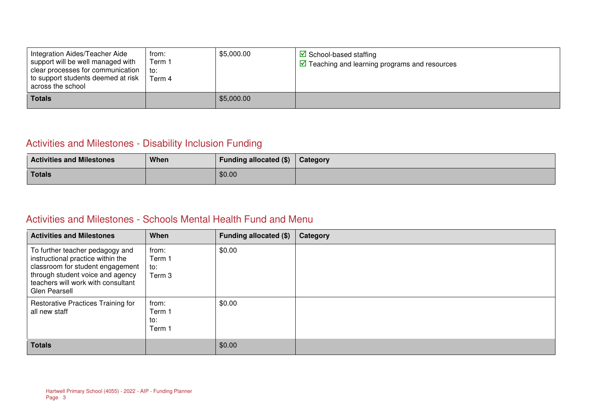| Integration Aides/Teacher Aide<br>support will be well managed with<br>clear processes for communication<br>I to support students deemed at risk<br>across the school | from:<br>ו Term<br>l to∶<br>Term 4 | \$5,000.00 | $\triangledown$ School-based staffing<br>$\sqrt{2}$ Teaching and learning programs and resources |
|-----------------------------------------------------------------------------------------------------------------------------------------------------------------------|------------------------------------|------------|--------------------------------------------------------------------------------------------------|
| <b>Totals</b>                                                                                                                                                         |                                    | \$5,000.00 |                                                                                                  |

#### Activities and Milestones - Disability Inclusion Funding

| <b>Activities and Milestones</b> | When | Funding allocated (\$) | Category |
|----------------------------------|------|------------------------|----------|
| <b>Totals</b>                    |      | \$0.00                 |          |

#### Activities and Milestones - Schools Mental Health Fund and Menu

| <b>Activities and Milestones</b>                                                                                                                                                                    | When                             | Funding allocated (\$) | Category |
|-----------------------------------------------------------------------------------------------------------------------------------------------------------------------------------------------------|----------------------------------|------------------------|----------|
| To further teacher pedagogy and<br>instructional practice within the<br>classroom for student engagement<br>through student voice and agency<br>teachers will work with consultant<br>Glen Pearsell | from:<br>Term 1<br>to:<br>Term 3 | \$0.00                 |          |
| Restorative Practices Training for<br>all new staff                                                                                                                                                 | from:<br>Term 1<br>to:<br>Term 1 | \$0.00                 |          |
| <b>Totals</b>                                                                                                                                                                                       |                                  | \$0.00                 |          |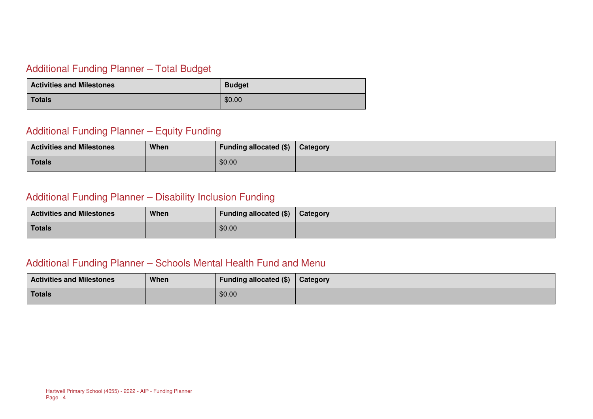#### Additional Funding Planner – Total Budget

| <b>Activities and Milestones</b> | <b>Budget</b> |
|----------------------------------|---------------|
| Totals                           | \$0.00        |

#### Additional Funding Planner – Equity Funding

| <b>Activities and Milestones</b> | When | Funding allocated (\$) | Category |
|----------------------------------|------|------------------------|----------|
| <b>Totals</b>                    |      | \$0.00                 |          |

#### Additional Funding Planner – Disability Inclusion Funding

| <b>Activities and Milestones</b> | When | Funding allocated $(\$)$   Category |  |
|----------------------------------|------|-------------------------------------|--|
| Totals                           |      | \$0.00                              |  |

#### Additional Funding Planner – Schools Mental Health Fund and Menu

| <b>Activities and Milestones</b> | When | Funding allocated (\$) | Category |
|----------------------------------|------|------------------------|----------|
| Totals                           |      | \$0.00                 |          |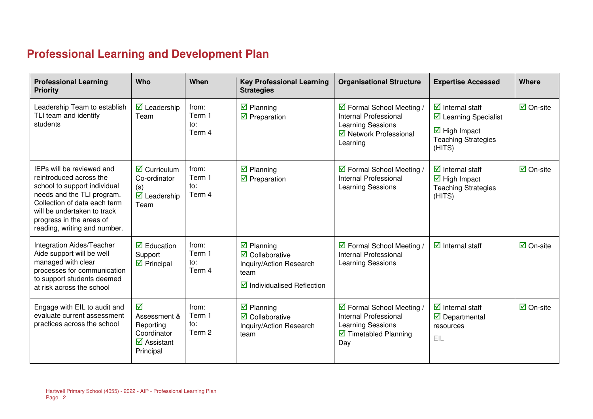## **Professional Learning and Development Plan**

| <b>Professional Learning</b><br><b>Priority</b>                                                                                                                                                                                               | <b>Who</b>                                                                                              | When                             | <b>Key Professional Learning</b><br><b>Strategies</b>                                                                                                 | <b>Organisational Structure</b>                                                                                       | <b>Expertise Accessed</b>                                                                                                          | Where                           |
|-----------------------------------------------------------------------------------------------------------------------------------------------------------------------------------------------------------------------------------------------|---------------------------------------------------------------------------------------------------------|----------------------------------|-------------------------------------------------------------------------------------------------------------------------------------------------------|-----------------------------------------------------------------------------------------------------------------------|------------------------------------------------------------------------------------------------------------------------------------|---------------------------------|
| Leadership Team to establish<br>TLI team and identify<br>students                                                                                                                                                                             | $\triangleright$ Leadership<br>Team                                                                     | from:<br>Term 1<br>to:<br>Term 4 | $\boxtimes$ Planning<br>$\boxtimes$ Preparation                                                                                                       | ☑ Formal School Meeting /<br>Internal Professional<br>Learning Sessions<br>☑ Network Professional<br>Learning         | $\overline{\mathbf{y}}$ Internal staff<br>☑ Learning Specialist<br>$\boxtimes$ High Impact<br><b>Teaching Strategies</b><br>(HITS) | $\overline{\mathbf{z}}$ On-site |
| IEPs will be reviewed and<br>reintroduced across the<br>school to support individual<br>needs and the TLI program.<br>Collection of data each term<br>will be undertaken to track<br>progress in the areas of<br>reading, writing and number. | $\overline{\mathbf{z}}$ Curriculum<br>Co-ordinator<br>(s)<br>$\overline{\mathbf{M}}$ Leadership<br>Team | from:<br>Term 1<br>to:<br>Term 4 | $\boxtimes$ Planning<br>$\boxtimes$ Preparation                                                                                                       | ☑ Formal School Meeting /<br>Internal Professional<br>Learning Sessions                                               | $\overline{\mathbf{y}}$ Internal staff<br>$\overline{\boxtimes}$ High Impact<br><b>Teaching Strategies</b><br>(HITS)               | $\overline{\mathbf{M}}$ On-site |
| Integration Aides/Teacher<br>Aide support will be well<br>managed with clear<br>processes for communication<br>to support students deemed<br>at risk across the school                                                                        | $\boxtimes$ Education<br>Support<br>$\triangleright$ Principal                                          | from:<br>Term 1<br>to:<br>Term 4 | $\overline{\mathbf{z}}$ Planning<br>$\overline{\mathbf{M}}$ Collaborative<br>Inquiry/Action Research<br>team<br>$\boxtimes$ Individualised Reflection | ☑ Formal School Meeting /<br>Internal Professional<br>Learning Sessions                                               | $\overline{\mathbf{y}}$ Internal staff                                                                                             | $\overline{\mathsf{M}}$ On-site |
| Engage with EIL to audit and<br>evaluate current assessment<br>practices across the school                                                                                                                                                    | ☑<br>Assessment &<br>Reporting<br>Coordinator<br>$\overline{\mathbf{M}}$ Assistant<br>Principal         | from:<br>Term 1<br>to:<br>Term 2 | $\overline{\mathbf{z}}$ Planning<br>$\overline{\mathbf{M}}$ Collaborative<br>Inquiry/Action Research<br>team                                          | ☑ Formal School Meeting /<br>Internal Professional<br>Learning Sessions<br>$\triangledown$ Timetabled Planning<br>Day | $\overline{\mathbf{z}}$ Internal staff<br>$\triangledown$ Departmental<br>resources<br>EIL                                         | $\overline{\mathsf{M}}$ On-site |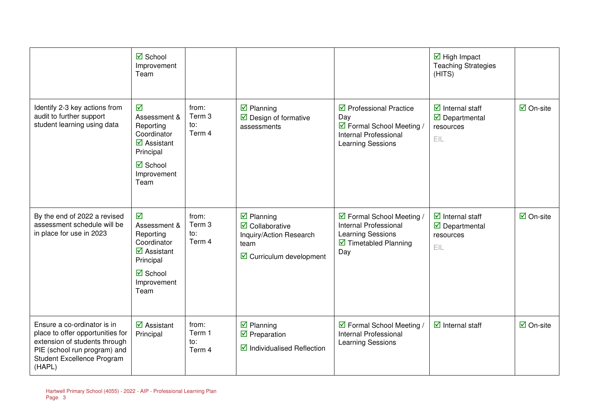|                                                                                                                                                                          | $\overline{\mathbf{M}}$ School<br>Improvement<br>Team                                                                                                              |                                  |                                                                                                                                      |                                                                                                                                      | $\overline{\mathbf{M}}$ High Impact<br><b>Teaching Strategies</b><br>(HITS)                        |                                 |
|--------------------------------------------------------------------------------------------------------------------------------------------------------------------------|--------------------------------------------------------------------------------------------------------------------------------------------------------------------|----------------------------------|--------------------------------------------------------------------------------------------------------------------------------------|--------------------------------------------------------------------------------------------------------------------------------------|----------------------------------------------------------------------------------------------------|---------------------------------|
| Identify 2-3 key actions from<br>audit to further support<br>student learning using data                                                                                 | ☑<br>Assessment &<br>Reporting<br>Coordinator<br>$\overline{\mathbf{z}}$ Assistant<br>Principal<br>$\boxtimes$ School<br>Improvement<br>Team                       | from:<br>Term 3<br>to:<br>Term 4 | $\boxtimes$ Planning<br>$\boxtimes$ Design of formative<br>assessments                                                               | $\triangledown$ Professional Practice<br>Day<br>☑ Formal School Meeting /<br>Internal Professional<br>Learning Sessions              | $\overline{\mathbf{y}}$ Internal staff<br>$\overline{\mathbf{u}}$ Departmental<br>resources<br>EIL | $\overline{\mathsf{M}}$ On-site |
| By the end of 2022 a revised<br>assessment schedule will be<br>in place for use in 2023                                                                                  | $\overline{\mathbf{v}}$<br>Assessment &<br>Reporting<br>Coordinator<br>$\overline{\mathbf{z}}$ Assistant<br>Principal<br>$\boxtimes$ School<br>Improvement<br>Team | from:<br>Term 3<br>to:<br>Term 4 | $\boxtimes$ Planning<br>$\overline{\mathbf{M}}$ Collaborative<br>Inquiry/Action Research<br>team<br>$\boxdot$ Curriculum development | ☑ Formal School Meeting /<br>Internal Professional<br><b>Learning Sessions</b><br>$\overline{\mathbf{2}}$ Timetabled Planning<br>Day | $\overline{\mathbf{y}}$ Internal staff<br>$\overline{\mathbf{y}}$ Departmental<br>resources<br>EIL | $\overline{\mathbf{M}}$ On-site |
| Ensure a co-ordinator is in<br>place to offer opportunities for<br>extension of students through<br>PIE (school run program) and<br>Student Excellence Program<br>(HAPL) | $\overline{\mathbf{z}}$ Assistant<br>Principal                                                                                                                     | from:<br>Term 1<br>to:<br>Term 4 | $\overline{\mathbf{z}}$ Planning<br>$\boxdot$ Preparation<br>$\boxtimes$ Individualised Reflection                                   | ☑ Formal School Meeting /<br>Internal Professional<br><b>Learning Sessions</b>                                                       | $\overline{\mathbf{y}}$ Internal staff                                                             | $\overline{\mathsf{M}}$ On-site |